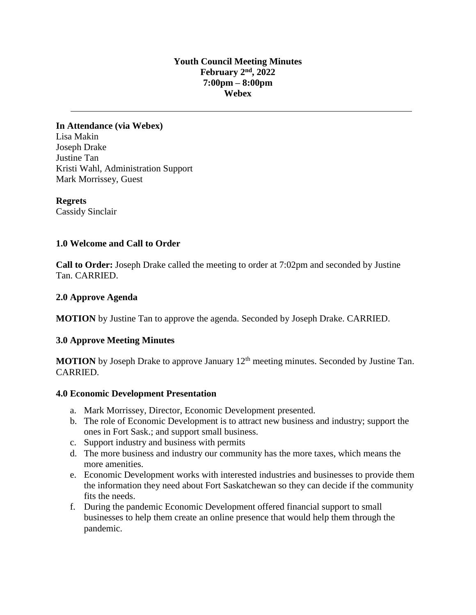## **Youth Council Meeting Minutes February 2nd , 2022 7:00pm – 8:00pm Webex**

**In Attendance (via Webex)** Lisa Makin Joseph Drake Justine Tan Kristi Wahl, Administration Support Mark Morrissey, Guest

**Regrets** Cassidy Sinclair

### **1.0 Welcome and Call to Order**

**Call to Order:** Joseph Drake called the meeting to order at 7:02pm and seconded by Justine Tan. CARRIED.

#### **2.0 Approve Agenda**

**MOTION** by Justine Tan to approve the agenda. Seconded by Joseph Drake. CARRIED.

#### **3.0 Approve Meeting Minutes**

**MOTION** by Joseph Drake to approve January 12<sup>th</sup> meeting minutes. Seconded by Justine Tan. CARRIED.

#### **4.0 Economic Development Presentation**

- a. Mark Morrissey, Director, Economic Development presented.
- b. The role of Economic Development is to attract new business and industry; support the ones in Fort Sask.; and support small business.
- c. Support industry and business with permits
- d. The more business and industry our community has the more taxes, which means the more amenities.
- e. Economic Development works with interested industries and businesses to provide them the information they need about Fort Saskatchewan so they can decide if the community fits the needs.
- f. During the pandemic Economic Development offered financial support to small businesses to help them create an online presence that would help them through the pandemic.